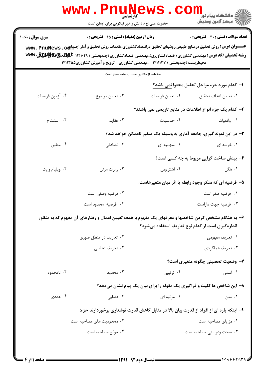|                                                                                                                                                                                                                                                                                                                                    | www.rnuney<br>حضرت علی(ع): دانش راهبر نیکویی برای ایمان است |                      | <mark>≦</mark> دانشگاه پيام <mark>نور</mark><br>// مرکز آزمون وسنجش                                                                                    |  |  |  |
|------------------------------------------------------------------------------------------------------------------------------------------------------------------------------------------------------------------------------------------------------------------------------------------------------------------------------------|-------------------------------------------------------------|----------------------|--------------------------------------------------------------------------------------------------------------------------------------------------------|--|--|--|
| سری سوال: یک ۱                                                                                                                                                                                                                                                                                                                     | <b>زمان آزمون (دقیقه) : تستی : 45 گشریحی : 0</b>            |                      | <b>تعداد سوالات : تستی : 30 ٪ تشریحی : 0</b>                                                                                                           |  |  |  |
| عنـــوان درس: روش تحقیق درمنابع طبیعی،روشهای تحقیق دراقتصادکشاورزی،مقدمات روش تحقیق و آمار اجتهاعی ، www . PnuNews<br><b>رشته تحصیلی/کد درس:</b> مهندسی کشاورزی (اقتصادکشاورزی)،مهندسی اقتصادکشاورزی (چندبخشی ) ۱۱۲۱۰۲۹ علیهللمیکاپلیکاپلیکاپلیکا<br>محیطزیست (چندبخشی ) ۱۴۱۱۱۳۷ - ،مهندسی کشاورزی - ترویج و آموزش کشاورزی۱۴۱۱۳۵۵- |                                                             |                      |                                                                                                                                                        |  |  |  |
| استفاده از ماشین حساب ساده مجاز است                                                                                                                                                                                                                                                                                                |                                                             |                      |                                                                                                                                                        |  |  |  |
|                                                                                                                                                                                                                                                                                                                                    |                                                             |                      | ۱– کدام مورد جزء مراحل تحلیل محتوا نمی باشد؟                                                                                                           |  |  |  |
| ۰۴ أزمون فرضيات                                                                                                                                                                                                                                                                                                                    | ۰۳ تعيين موضوع                                              | ٠٢ تعيين فرضيات      | ٠١ تعيين اهداف تحقيق                                                                                                                                   |  |  |  |
|                                                                                                                                                                                                                                                                                                                                    |                                                             |                      | ۲– کدام یک جزء انواع اطلاعات در منابع تاریخی نمی باشند؟                                                                                                |  |  |  |
| ۰۴ استنتاج                                                                                                                                                                                                                                                                                                                         | ا عقاید $\cdot$                                             | ۰۲ حدسیات            | ۰۱ واقعیات                                                                                                                                             |  |  |  |
|                                                                                                                                                                                                                                                                                                                                    |                                                             |                      | ۳- در این نمونه گیری، جامعه آماری به وسیله یک متغیر ناهمگن خواهد شد؟                                                                                   |  |  |  |
| ۰۴ مطبق                                                                                                                                                                                                                                                                                                                            | ۰۳ تصادفی                                                   | ۰۲ سهمیه ای          | ۰۱ خوشه ای                                                                                                                                             |  |  |  |
|                                                                                                                                                                                                                                                                                                                                    |                                                             |                      | ۴- بینش ساخت گرایی مربوط به چه کسی است؟                                                                                                                |  |  |  |
| ۰۴ ویلیام وایت                                                                                                                                                                                                                                                                                                                     | ۰۳ رابرت مرتن                                               | ۰۲ اشتراوس           | ۰۱ هگل                                                                                                                                                 |  |  |  |
|                                                                                                                                                                                                                                                                                                                                    |                                                             |                      | ۵– فرضیه ای که منکر وجود رابطه یا اثر میان متغیرهاست:                                                                                                  |  |  |  |
|                                                                                                                                                                                                                                                                                                                                    | ۰۲ فرضیه وصفی است                                           |                      | ۰۱ فرضیه صفر است                                                                                                                                       |  |  |  |
|                                                                                                                                                                                                                                                                                                                                    | ۰۴ فرضيه محدود است                                          |                      | ۰۳ فرضيه جهت داراست                                                                                                                                    |  |  |  |
|                                                                                                                                                                                                                                                                                                                                    |                                                             |                      | ۶– به هنگام مشخص کردن شاخصها و معرفهای یک مفهوم با هدف تعیین اعمال و رفتارهای آن مفهوم که به منظور<br>اندازهگیری است از کدام نوع تعاریف استفاده میشود؟ |  |  |  |
|                                                                                                                                                                                                                                                                                                                                    | ۰۲ تعاریف در منطق صوری                                      |                      | ۰۱ تعاریف مفهومی                                                                                                                                       |  |  |  |
|                                                                                                                                                                                                                                                                                                                                    | ۰۴ تعاریف تحلیلی                                            |                      | ۰۳ تعاریف عملکردی                                                                                                                                      |  |  |  |
|                                                                                                                                                                                                                                                                                                                                    |                                                             |                      | ٧- وضعيت تحصيلي چگونه متغيري است؟                                                                                                                      |  |  |  |
| ۰۴ نامحدود                                                                                                                                                                                                                                                                                                                         | ۰۳ محدود                                                    | ۰۲ ترتیبی            | ۰۱ اسمی                                                                                                                                                |  |  |  |
|                                                                                                                                                                                                                                                                                                                                    |                                                             |                      | ۸– این شاخص ها کلیت و فراگیری یک مقوله را برای بیان یک پیام نشان میدهد؟                                                                                |  |  |  |
| ۰۴ عددی                                                                                                                                                                                                                                                                                                                            | ۰۳ فضایی                                                    | ۰۲ مرتبه ای          | ۰۱ متن                                                                                                                                                 |  |  |  |
|                                                                                                                                                                                                                                                                                                                                    |                                                             |                      | ۹– اینکه پاره ای از افراد از قدرت بیان بالا در مقابل کاهش قدرت نوشتاری برخوردارند جزء:                                                                 |  |  |  |
|                                                                                                                                                                                                                                                                                                                                    | ۰۲ محدودیت های مصاحبه است                                   | ۰۱ مزایای مصاحبه است |                                                                                                                                                        |  |  |  |
|                                                                                                                                                                                                                                                                                                                                    | ۰۴ موانع مصاحبه است                                         |                      | ۰۳ صحت ودرستی مصاحبه است                                                                                                                               |  |  |  |
|                                                                                                                                                                                                                                                                                                                                    |                                                             |                      |                                                                                                                                                        |  |  |  |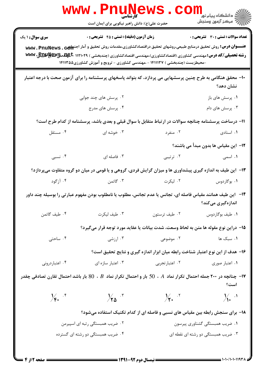|                                                                                                                                                                                                                                                                                                                                               | <b>WWW . PNUNET</b><br><b>کارشناسی</b><br>حضرت علی(ع): دانش راهبر نیکویی برای ایمان است                      |                                                                                 | <mark>≦</mark> دانشگاه پیام نو <mark>ر</mark><br>أأآت مركز آزمون وسنجش |  |  |
|-----------------------------------------------------------------------------------------------------------------------------------------------------------------------------------------------------------------------------------------------------------------------------------------------------------------------------------------------|--------------------------------------------------------------------------------------------------------------|---------------------------------------------------------------------------------|------------------------------------------------------------------------|--|--|
| <b>سری سوال : ۱ یک</b>                                                                                                                                                                                                                                                                                                                        | زمان آزمون (دقیقه) : تستی : 45 آتشریحی : 0                                                                   |                                                                                 | <b>تعداد سوالات : تستی : 30 ٪ تشریحی : 0</b>                           |  |  |
| <b>عنـــوان درس:</b> روش تحقیق درمنابع طبیعی،روشهای تحقیق دراقتصادکشاورزی،مقدمات روش تحقیق و آمار اجتها <b>عی , www ,</b> PnuNews<br><b>رشته تحصیلی/کد درس:</b> مهندسی کشاورزی (اقتصادکشاورزی)،مهندسی اقتصادکشاورزی (چندبخشی ) ۱۱۲۱۰۲۹ Sew هیلایکالیکایی www<br>-محیطزیست (چندبخشی ) ۱۴۱۱۱۳۷ - ،مهندسی کشاورزی - ترویج و آموزش کشاورزی۱۴۱۱۳۵۵ |                                                                                                              |                                                                                 |                                                                        |  |  |
|                                                                                                                                                                                                                                                                                                                                               | ∙۱− محقق هنگامی به طرح چنین پرسشهایی می پردازد، که بتواند پاسخهای پرسشنامه را برای آزمون صحت با درجه اعتبار  |                                                                                 | نشان دهد؟                                                              |  |  |
|                                                                                                                                                                                                                                                                                                                                               | ۰۲ پرسش های چند جوابی                                                                                        |                                                                                 | ۰۱ پرسش های باز                                                        |  |  |
|                                                                                                                                                                                                                                                                                                                                               | ۰۴ پرسش های مدرج                                                                                             |                                                                                 | ۰۳ پرسش های دام                                                        |  |  |
| 1۱– درساخت پرسشنامه چنانچه سوالات در ارتباط متقابل با سوال قبلی و بعدی باشد، پرسشنامه از کدام طرح است؟                                                                                                                                                                                                                                        |                                                                                                              |                                                                                 |                                                                        |  |  |
| ۰۴ مستقل                                                                                                                                                                                                                                                                                                                                      | ۰۳ خوشه ای                                                                                                   |                                                                                 | ۰۱ اسنادی منفرد .                                                      |  |  |
|                                                                                                                                                                                                                                                                                                                                               |                                                                                                              |                                                                                 | <b>۱۲</b> – این مقیاس ها بدون مبدأ می باشند؟                           |  |  |
| ۰۴ نسبی                                                                                                                                                                                                                                                                                                                                       | ۰۳ فاصله ای                                                                                                  | ۰۲ ترتیبی                                                                       | ۰۱ اسمی                                                                |  |  |
| ۱۳- آین طیف به اندازه گیری پیشداوری ها و میزان گرایش فردی، گروهی و یا قومی در میان دو گروه متفاوت میپردازد؟                                                                                                                                                                                                                                   |                                                                                                              |                                                                                 |                                                                        |  |  |
|                                                                                                                                                                                                                                                                                                                                               | ۰۲ لیکرت می سال ۲۰۰۴ و تا تمن است. ۴۰۰ آزگود است تا ۲۰۰                                                      |                                                                                 | ۰۱ بوگاردوس                                                            |  |  |
|                                                                                                                                                                                                                                                                                                                                               | ۱۴–۔این طیف همانند مقیاس فاصله ای، تجانس یا عدم تجانس، مطلوب یا نامطلوب بودن مفهوم عبارتی را بوسیله چند داور |                                                                                 | اندازەگيرى مىكند؟                                                      |  |  |
| ۰۴ طيف گاتمن                                                                                                                                                                                                                                                                                                                                  | ۰۳ طيف ليکرت                                                                                                 | ٠٢ طيف ترستون                                                                   | ٠١ طيف بوگاردوس                                                        |  |  |
|                                                                                                                                                                                                                                                                                                                                               | 1۵– دراین نوع مقوله ها متن به لحاظ وسعت، شدت بیانات یا عقاید مورد توجه قرار میگیرد؟                          |                                                                                 |                                                                        |  |  |
| ۰۴ ساحتی                                                                                                                                                                                                                                                                                                                                      | ۰۳ ارزشی                                                                                                     | ۰۲ موضوعی                                                                       | ۰۱ سبک ها                                                              |  |  |
|                                                                                                                                                                                                                                                                                                                                               |                                                                                                              | ۱۶– هدف از این نوع اعتبار شناخت رابطه میان ابزار اندازه گیری و نتایج تحقیق است؟ |                                                                        |  |  |
| ۰۴ اعتباردرونی                                                                                                                                                                                                                                                                                                                                | ۰۳ اعتبار سازه ای                                                                                            | ۰۲ اعتبار تجربی                                                                 | ۰۱ اعتبار صوری                                                         |  |  |
| ا- چنانچه در ۲۰۰ جمله احتمال تکرار نماد $A$ ، $50\,$ بار و احتمال تکرار نماد $B$ ، $B$ بار باشد احتمال تقارن تصادفی چقدر $\cdot$<br>است؟                                                                                                                                                                                                      |                                                                                                              |                                                                                 |                                                                        |  |  |
| $\frac{1}{r}$                                                                                                                                                                                                                                                                                                                                 | $\frac{1}{10}$                                                                                               | $\frac{1}{r}$ .                                                                 | $\chi$ <sup>1</sup>                                                    |  |  |
|                                                                                                                                                                                                                                                                                                                                               | ۱۸- برای سنجش رابطه بین مقیاس های نسبی و فاصله ای از کدام تکنیک استفاده میشود؟                               |                                                                                 |                                                                        |  |  |
| ۰۲ ضریب همبستگی رتبه ای اسپیرمن<br>۰۱ ضریب همبستگی گشتاوری پیرسون                                                                                                                                                                                                                                                                             |                                                                                                              |                                                                                 |                                                                        |  |  |
| ۰۴ ضریب همبستگی دو رشته ای گسترده                                                                                                                                                                                                                                                                                                             |                                                                                                              | ۰۳ ضریب همبستگی دو رشته ای نقطه ای                                              |                                                                        |  |  |
|                                                                                                                                                                                                                                                                                                                                               |                                                                                                              |                                                                                 |                                                                        |  |  |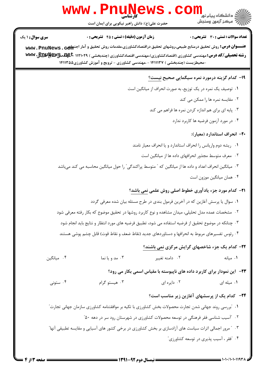**31- كدام مورد جزء يادآوري خطوط اصلي روش علمي نمي باشد؟** ۰۱ سوال یا پرسش آغازین که در آخرین فرمول بندی در طرح مسئله بیان شده معرفی گردد <sup>۲</sup>۰ مشخصات عمده مدل تحلیلی، میدان مشاهده و نوع کاربرد روشها در تحقیق موضوع که بکار رفته معرفی شود

- ۰۳ جنانکه در موضوع تحقیق از فرضیه استفاده می شود، تطبیق فرضیه های مورد انتظار و نتایج باید انجام شود
- ۰۴ رئوس تفسيرهاي مربوط به انحرافها و دستاوردهاي جديد (نقاط ضعف و نقاط قوت) قابل چشم پوشي هستند

**۲۲- کدام یک جزء شاخصهای گرایش مرکزی نمی باشند؟** 

۰۴ میانگین ۰۳ مدويانما ۰۲ دامنه تغییر ۰۱ مىانە

۲۳- این نمودار برای کاربرد داده های ناپیوسته با مقیاس اسمی بکار می رود؟

۰۴ ستونی ۰۳ هستو گرام ۰۲ داده ای ۰۱ میله ای

# **۲۴**- کدام یک از پرسشهای آغازین زیر مناسب است؟

- ٠١ ٪ بررسي روند جهاني شدن تجارت محصولات بخش كشاورزي با تكيه بر موافقتنامه كشاورزي سازمان جهاني تجارت ؒ ۰۲ آسیب شناسی فقر فرهنگی در توسعه محصولات کشاورزی در شهرستان رود سر در دهه ۵۰″
- ۰۳ ً مرور اجمالی اثرات سیاست های آزادسازی بر بخش کشاورزی در برخی کشور های آسیایی و مقایسه تطبیقی آنها ً
	- ۰۴ "فقر ، آسیب پذیری در توسعه کشاورزی"

 $\mathbf{WS}$  .  $\mathbf{com}_{\mathbb{P}^{1,1} \times \mathbb{P}^{2}}$ www.PnuNe

حضرت علی(ع): دانش راهبر نیکویی برای ایمان است

**زمان آزمون (دقیقه) : تستی : 45 گشریحی: 0** 

**سری سوال : ۱ یک** 

عنـــوان درس: روش تحقیق درمنابع طبیعی،روشهای تحقیق دراقتصادکشاورزی،مقدمات روش تحقیق و آمار اجتهاعی , www . PnuNews **رشته تحصیلی/کد درس: مهندسی کشاورزی (اقتصادکشاورزی)،مهندسی اقتصادکشاورزی (چندبخشی ) www BREW BACK + 11210 EXPER** -محیطزیست (چندبخشی ) ۱۴۱۱۱۳۷ - ،مهندسی کشاورزی - ترویج و آموزش کشاورزی۵۵۱۱۳۵۵

### **۱۹- کدام گزینه درمورد نمره سیگمایی صحیح نیست**؟

- ۰۱ توصیف یک نمره در یک توزیع، به صورت انحراف از میانگین است
	- ۰۲ مقایسه نمره ها را ممکن می کند
	- ۰۳ یایه ای برای هم اندازه کردن نمره ها فراهم می کند
		- ۰۴ در مورد آزمون فرضیه ها کاربرد ندارد

## **٢٠**- انحراف استاندارد (معيار):

- ٠١ ريشه دوم واريانس را انحراف استاندارد و يا انحراف معيار نامند
	- ۲. معرف متوسط مجذور انحرافهای داده ها از میانگین است
- ۰۳ میانگین انحراف اعداد و داده ها از میانگین که ″ متوسط پراکندگی″ را حول میانگین محاسبه می کند میباشد
	- ۰۴ همان میانگین موزون است



تعداد سوالات : تستى : 30 - تشريحي : 0